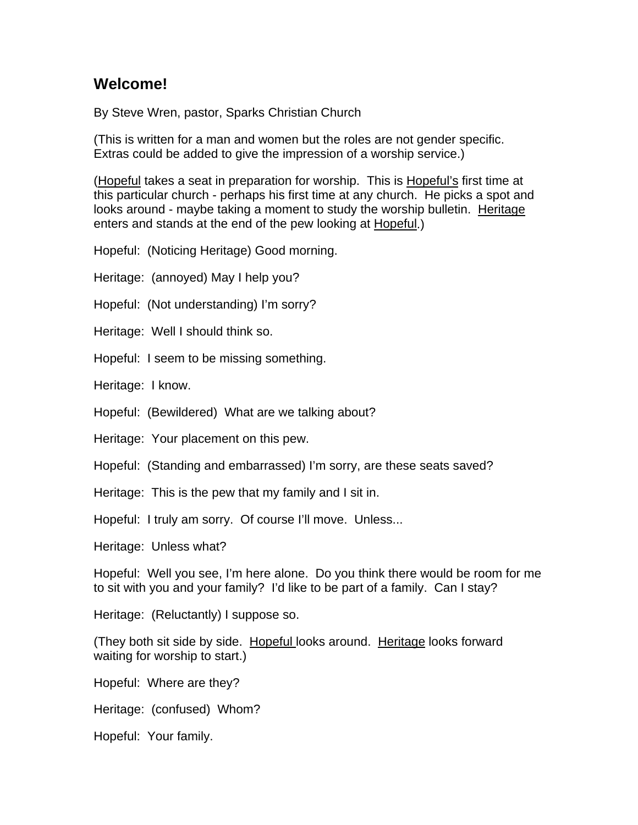## **Welcome!**

By Steve Wren, pastor, Sparks Christian Church

(This is written for a man and women but the roles are not gender specific. Extras could be added to give the impression of a worship service.)

(Hopeful takes a seat in preparation for worship. This is Hopeful's first time at this particular church - perhaps his first time at any church. He picks a spot and looks around - maybe taking a moment to study the worship bulletin. Heritage enters and stands at the end of the pew looking at Hopeful.)

Hopeful: (Noticing Heritage) Good morning.

Heritage: (annoyed) May I help you?

Hopeful: (Not understanding) I'm sorry?

Heritage: Well I should think so.

Hopeful: I seem to be missing something.

Heritage: I know.

Hopeful: (Bewildered) What are we talking about?

Heritage: Your placement on this pew.

Hopeful: (Standing and embarrassed) I'm sorry, are these seats saved?

Heritage: This is the pew that my family and I sit in.

Hopeful: I truly am sorry. Of course I'll move. Unless...

Heritage: Unless what?

Hopeful: Well you see, I'm here alone. Do you think there would be room for me to sit with you and your family? I'd like to be part of a family. Can I stay?

Heritage: (Reluctantly) I suppose so.

(They both sit side by side. Hopeful looks around. Heritage looks forward waiting for worship to start.)

Hopeful: Where are they?

Heritage: (confused) Whom?

Hopeful: Your family.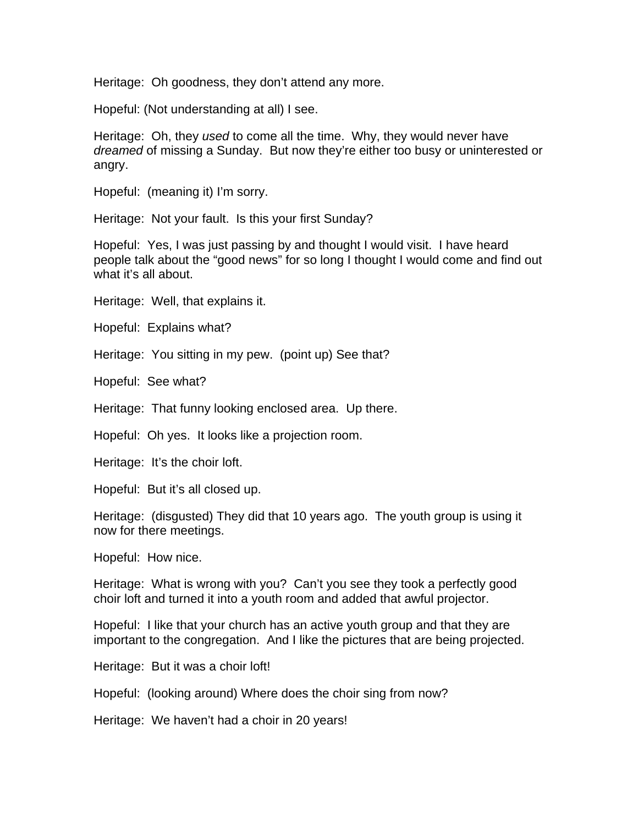Heritage: Oh goodness, they don't attend any more.

Hopeful: (Not understanding at all) I see.

Heritage: Oh, they *used* to come all the time. Why, they would never have *dreamed* of missing a Sunday. But now they're either too busy or uninterested or angry.

Hopeful: (meaning it) I'm sorry.

Heritage: Not your fault. Is this your first Sunday?

Hopeful: Yes, I was just passing by and thought I would visit. I have heard people talk about the "good news" for so long I thought I would come and find out what it's all about.

Heritage: Well, that explains it.

Hopeful: Explains what?

Heritage: You sitting in my pew. (point up) See that?

Hopeful: See what?

Heritage: That funny looking enclosed area. Up there.

Hopeful: Oh yes. It looks like a projection room.

Heritage: It's the choir loft.

Hopeful: But it's all closed up.

Heritage: (disgusted) They did that 10 years ago. The youth group is using it now for there meetings.

Hopeful: How nice.

Heritage: What is wrong with you? Can't you see they took a perfectly good choir loft and turned it into a youth room and added that awful projector.

Hopeful: I like that your church has an active youth group and that they are important to the congregation. And I like the pictures that are being projected.

Heritage: But it was a choir loft!

Hopeful: (looking around) Where does the choir sing from now?

Heritage: We haven't had a choir in 20 years!